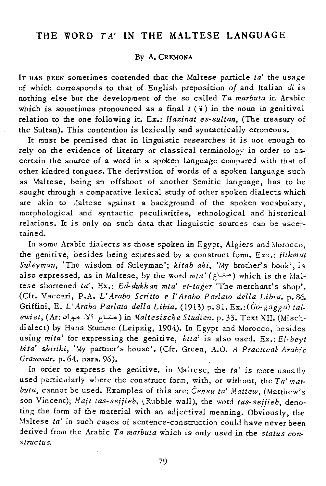## THE WORD TA' IN THE MALTESE LANGUAGE

## By A. CREMONA

IT HAS BEEN sometimes contended that the Maltese particle *ta'* the usage of which corresponds to that of English preposition *of* and Italian *di* is nothing else but the development of the so called *Ta marbuta* in Arabic which is sometimes pronounced as a final  $t$  ( $\ddot{i}$ ) in the noun in genitival relation to the one following it. Ex.: *Hazirzat es-sultan,* (The treasury of the Sultan). This contention *is* lexically and syntactically erroneous.

It must be premised that in linguistic researches it *is* not enough to rely on the evidence of literary or classical terminology in order to ascertain the source of a word in a spoken language compared with that of other kindred tongues. The derivation of words of a spoken language such as Maltese, being an offshoot of another Semitic language, has to be sought through a comparative lexical study of other spoken dialects which are akin to : laltese against a background of the spoken vocabulary, morphological and syntactic peculiarities, ethnological and historical relations. It is only on such data that linguistic sources can be ascertained.

In some Arabic dialects as those spoken in Egypt, Algiers and Morocco, the genitive, besides being expressed by a construct form. Exx.: *Hikmat Suleymarz,* 'The wisdom of Suleyman'j *kitab ahi,* 'My brother's book', is also expressed, as in Maltese, by the word *mta'* (مناع) which is the Maltese shortened ta'. Ex.: Ed-dukkan mta' et-tager 'The merchant's shop'. (Cfr. Vaccari, P.A. L' *Arabo Scritto e* l' *Arabo Parlato della Libia.* p.86. Griffini, E. L' *Arabo Parlato delta Libia.* (1913) p. 81. *Ex.:(Go.gagga) talewiet,* (Ar: .:>!yo It! tL:.:....) in *Maltesische Studien.* p. 33. Text XII. (Mischdialect) by Hans Stumme (Leipzig, 1904). In Egypt and Morocco, besides using *mita'* for expressing the genitive, *bita'* is also used. Ex.: *EI·beyt hila' s,hiriki,* 'My partner's house'. (Cfr. Green, A.O. *A Practical Arabic Grammar.* p. 64. para. 96).

In order to express the genitive, in Maltese, the *ta'* is more usually used particularly where the construct form, with, or without, the *Ta' mar. buta,* cannot be used. Examples of this are: *Censu ta' Mattew,* (Matthew's son Vincent); *Hajt tas-sejjieb,* tRubble wall), the word *tas-sejjieh,* denoting the form of the material with an adjectival meaning. Obviously, the Maltese *ta'* in such cases of sentence-construction could have never been derived from the Arabic *Ta marbuta* which *is* only used in the *status constructus.* 

79